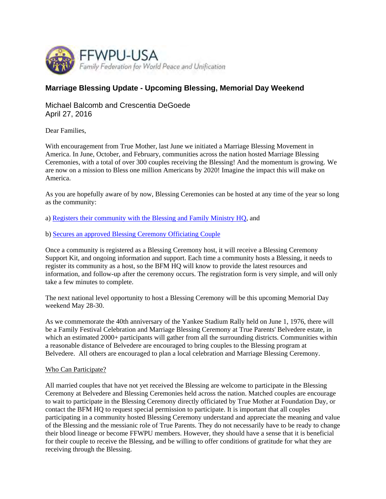

## **Marriage Blessing Update - Upcoming Blessing, Memorial Day Weekend**

Michael Balcomb and Crescentia DeGoede April 27, 2016

Dear Families,

With encouragement from True Mother, last June we initiated a Marriage Blessing Movement in America. In June, October, and February, communities across the nation hosted Marriage Blessing Ceremonies, with a total of over 300 couples receiving the Blessing! And the momentum is growing. We are now on a mission to Bless one million Americans by 2020! Imagine the impact this will make on America.

As you are hopefully aware of by now, Blessing Ceremonies can be hosted at any time of the year so long as the community:

a) Registers their community with the Blessing and Family Ministry HQ, and

b) Secures an approved Blessing Ceremony Officiating Couple

Once a community is registered as a Blessing Ceremony host, it will receive a Blessing Ceremony Support Kit, and ongoing information and support. Each time a community hosts a Blessing, it needs to register its community as a host, so the BFM HQ will know to provide the latest resources and information, and follow-up after the ceremony occurs. The registration form is very simple, and will only take a few minutes to complete.

The next national level opportunity to host a Blessing Ceremony will be this upcoming Memorial Day weekend May 28-30.

As we commemorate the 40th anniversary of the Yankee Stadium Rally held on June 1, 1976, there will be a Family Festival Celebration and Marriage Blessing Ceremony at True Parents' Belvedere estate, in which an estimated 2000+ participants will gather from all the surrounding districts. Communities within a reasonable distance of Belvedere are encouraged to bring couples to the Blessing program at Belvedere. All others are encouraged to plan a local celebration and Marriage Blessing Ceremony.

## Who Can Participate?

All married couples that have not yet received the Blessing are welcome to participate in the Blessing Ceremony at Belvedere and Blessing Ceremonies held across the nation. Matched couples are encourage to wait to participate in the Blessing Ceremony directly officiated by True Mother at Foundation Day, or contact the BFM HQ to request special permission to participate. It is important that all couples participating in a community hosted Blessing Ceremony understand and appreciate the meaning and value of the Blessing and the messianic role of True Parents. They do not necessarily have to be ready to change their blood lineage or become FFWPU members. However, they should have a sense that it is beneficial for their couple to receive the Blessing, and be willing to offer conditions of gratitude for what they are receiving through the Blessing.